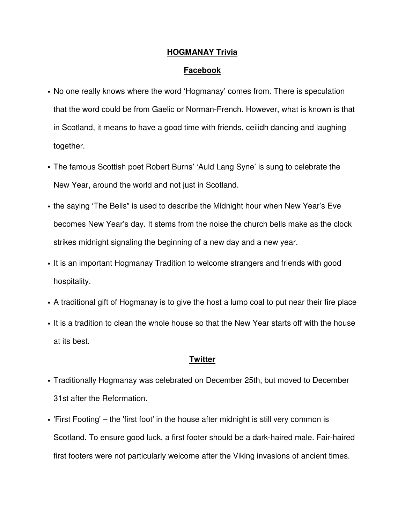## **HOGMANAY Trivia**

## **Facebook**

- No one really knows where the word 'Hogmanay' comes from. There is speculation that the word could be from Gaelic or Norman-French. However, what is known is that in Scotland, it means to have a good time with friends, ceilidh dancing and laughing together.
- The famous Scottish poet Robert Burns' 'Auld Lang Syne' is sung to celebrate the New Year, around the world and not just in Scotland.
- the saying 'The Bells" is used to describe the Midnight hour when New Year's Eve becomes New Year's day. It stems from the noise the church bells make as the clock strikes midnight signaling the beginning of a new day and a new year.
- It is an important Hogmanay Tradition to welcome strangers and friends with good hospitality.
- A traditional gift of Hogmanay is to give the host a lump coal to put near their fire place
- It is a tradition to clean the whole house so that the New Year starts off with the house at its best.

## **Twitter**

- Traditionally Hogmanay was celebrated on December 25th, but moved to December 31st after the Reformation.
- 'First Footing' the 'first foot' in the house after midnight is still very common is Scotland. To ensure good luck, a first footer should be a dark-haired male. Fair-haired first footers were not particularly welcome after the Viking invasions of ancient times.